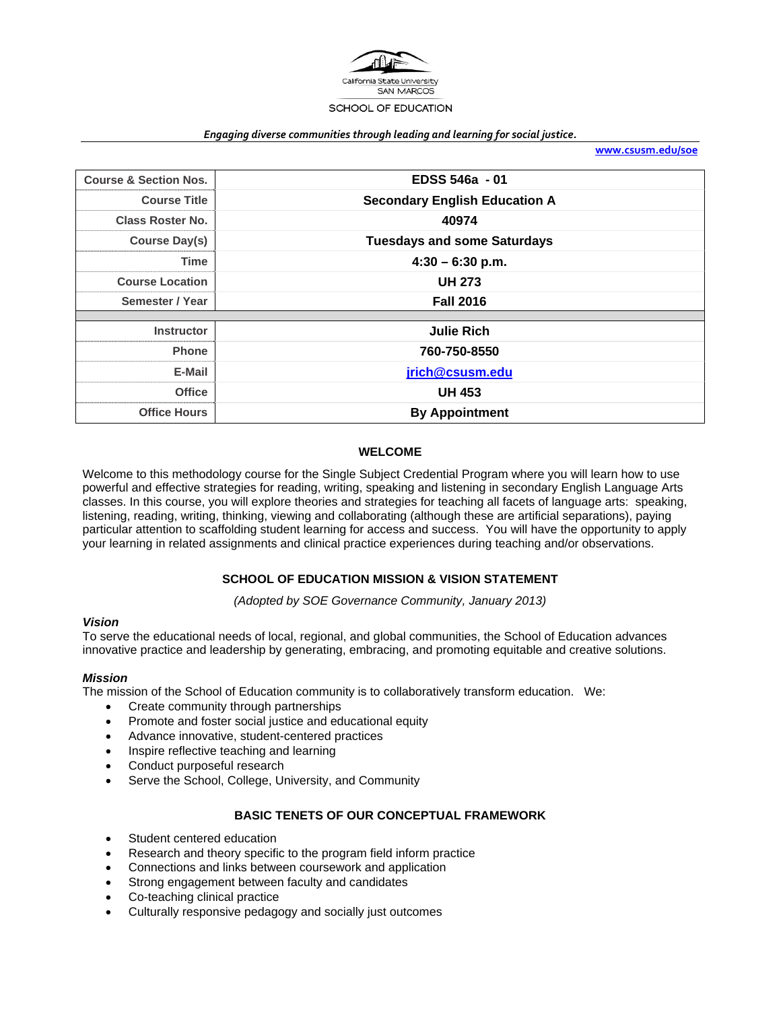

#### *Engaging diverse communities through leading and learning for social justice.*

**www.csusm.edu/soe**

| <b>Course &amp; Section Nos.</b> | EDSS 546a - 01                       |  |
|----------------------------------|--------------------------------------|--|
| <b>Course Title</b>              | <b>Secondary English Education A</b> |  |
| <b>Class Roster No.</b>          | 40974                                |  |
| Course Day(s)                    | <b>Tuesdays and some Saturdays</b>   |  |
| <b>Time</b>                      | $4:30 - 6:30$ p.m.                   |  |
| <b>Course Location</b>           | <b>UH 273</b>                        |  |
| Semester / Year                  | <b>Fall 2016</b>                     |  |
|                                  |                                      |  |
| <b>Instructor</b>                | <b>Julie Rich</b>                    |  |
| <b>Phone</b>                     | 760-750-8550                         |  |
| E-Mail                           | jrich@csusm.edu                      |  |
| <b>Office</b>                    | <b>UH 453</b>                        |  |
| <b>Office Hours</b>              | <b>By Appointment</b>                |  |

### **WELCOME**

Welcome to this methodology course for the Single Subject Credential Program where you will learn how to use powerful and effective strategies for reading, writing, speaking and listening in secondary English Language Arts classes. In this course, you will explore theories and strategies for teaching all facets of language arts: speaking, listening, reading, writing, thinking, viewing and collaborating (although these are artificial separations), paying particular attention to scaffolding student learning for access and success. You will have the opportunity to apply your learning in related assignments and clinical practice experiences during teaching and/or observations.

#### **SCHOOL OF EDUCATION MISSION & VISION STATEMENT**

*(Adopted by SOE Governance Community, January 2013)* 

#### *Vision*

To serve the educational needs of local, regional, and global communities, the School of Education advances innovative practice and leadership by generating, embracing, and promoting equitable and creative solutions.

#### *Mission*

The mission of the School of Education community is to collaboratively transform education. We:

- Create community through partnerships
- Promote and foster social justice and educational equity
- Advance innovative, student-centered practices
- Inspire reflective teaching and learning
- Conduct purposeful research
- Serve the School, College, University, and Community

#### **BASIC TENETS OF OUR CONCEPTUAL FRAMEWORK**

- Student centered education
- Research and theory specific to the program field inform practice
- Connections and links between coursework and application
- Strong engagement between faculty and candidates
- Co-teaching clinical practice
- Culturally responsive pedagogy and socially just outcomes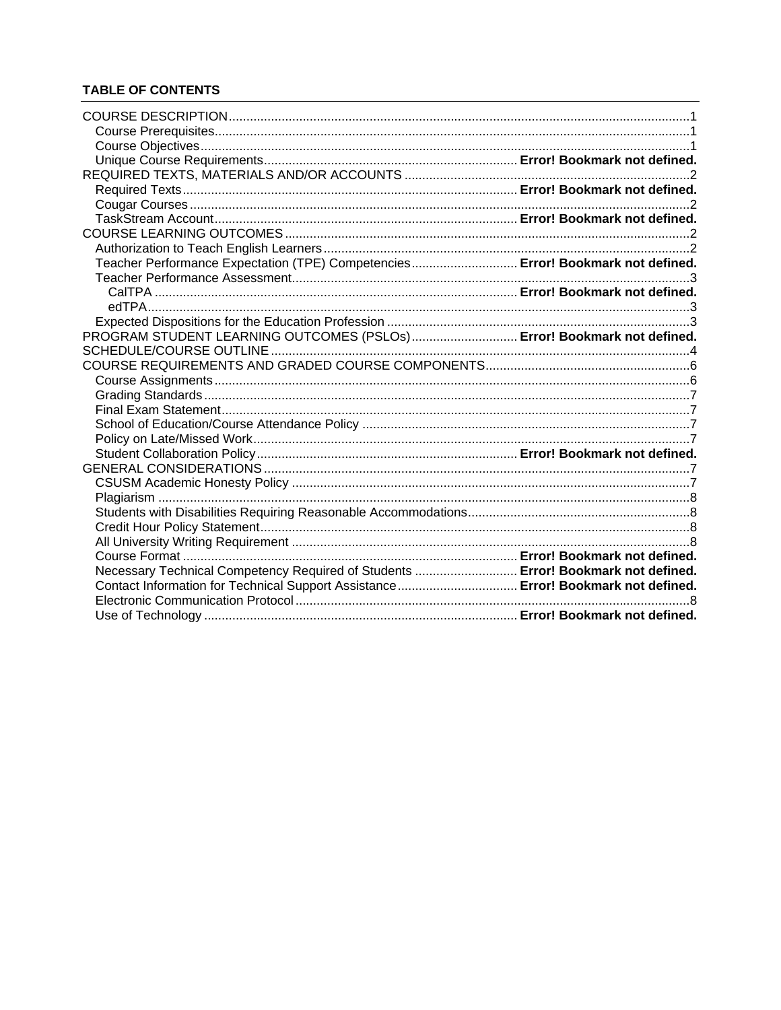# **TABLE OF CONTENTS**

| Teacher Performance Expectation (TPE) Competencies Error! Bookmark not defined.   |  |
|-----------------------------------------------------------------------------------|--|
|                                                                                   |  |
|                                                                                   |  |
|                                                                                   |  |
| PROGRAM STUDENT LEARNING OUTCOMES (PSLOs) Error! Bookmark not defined.            |  |
|                                                                                   |  |
|                                                                                   |  |
|                                                                                   |  |
|                                                                                   |  |
|                                                                                   |  |
|                                                                                   |  |
|                                                                                   |  |
|                                                                                   |  |
|                                                                                   |  |
|                                                                                   |  |
|                                                                                   |  |
|                                                                                   |  |
|                                                                                   |  |
|                                                                                   |  |
|                                                                                   |  |
| Necessary Technical Competency Required of Students  Error! Bookmark not defined. |  |
| Contact Information for Technical Support Assistance Error! Bookmark not defined. |  |
|                                                                                   |  |
|                                                                                   |  |
|                                                                                   |  |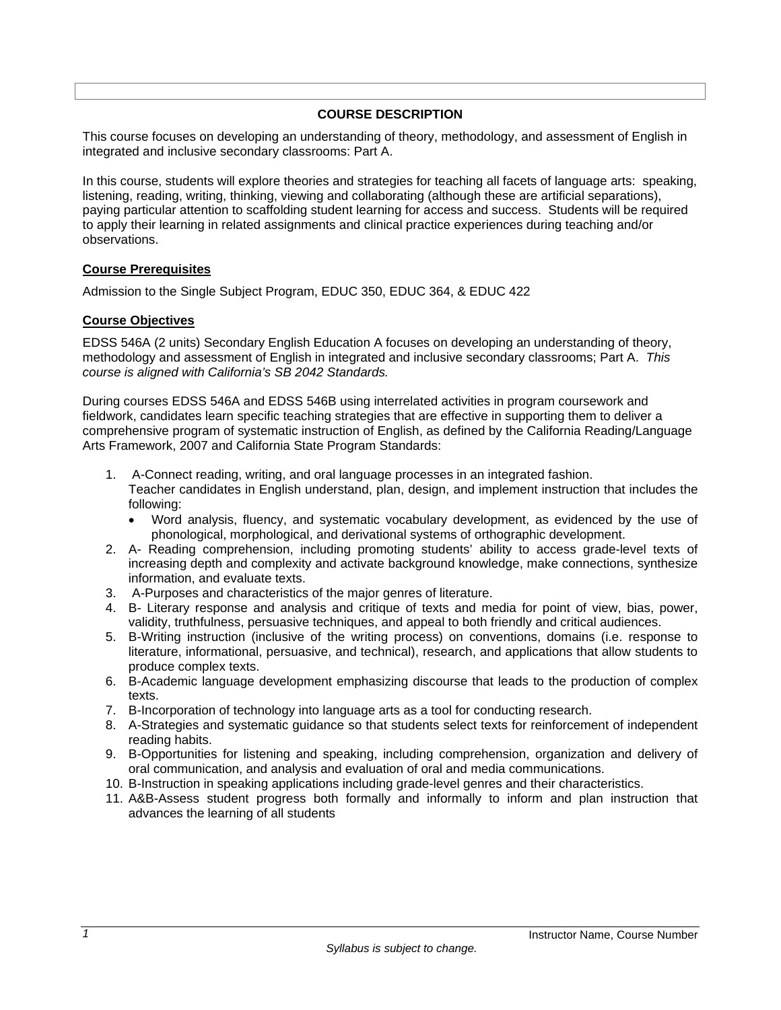### **COURSE DESCRIPTION**

This course focuses on developing an understanding of theory, methodology, and assessment of English in integrated and inclusive secondary classrooms: Part A.

In this course, students will explore theories and strategies for teaching all facets of language arts: speaking, listening, reading, writing, thinking, viewing and collaborating (although these are artificial separations), paying particular attention to scaffolding student learning for access and success. Students will be required to apply their learning in related assignments and clinical practice experiences during teaching and/or observations.

### **Course Prerequisites**

Admission to the Single Subject Program, EDUC 350, EDUC 364, & EDUC 422

### **Course Objectives**

EDSS 546A (2 units) Secondary English Education A focuses on developing an understanding of theory, methodology and assessment of English in integrated and inclusive secondary classrooms; Part A. *This course is aligned with California's SB 2042 Standards.* 

During courses EDSS 546A and EDSS 546B using interrelated activities in program coursework and fieldwork, candidates learn specific teaching strategies that are effective in supporting them to deliver a comprehensive program of systematic instruction of English, as defined by the California Reading/Language Arts Framework, 2007 and California State Program Standards:

- 1. A-Connect reading, writing, and oral language processes in an integrated fashion. Teacher candidates in English understand, plan, design, and implement instruction that includes the following:
	- Word analysis, fluency, and systematic vocabulary development, as evidenced by the use of phonological, morphological, and derivational systems of orthographic development.
- 2. A- Reading comprehension, including promoting students' ability to access grade-level texts of increasing depth and complexity and activate background knowledge, make connections, synthesize information, and evaluate texts.
- 3. A-Purposes and characteristics of the major genres of literature.
- 4. B- Literary response and analysis and critique of texts and media for point of view, bias, power, validity, truthfulness, persuasive techniques, and appeal to both friendly and critical audiences.
- 5. B-Writing instruction (inclusive of the writing process) on conventions, domains (i.e. response to literature, informational, persuasive, and technical), research, and applications that allow students to produce complex texts.
- 6. B-Academic language development emphasizing discourse that leads to the production of complex texts.
- 7. B-Incorporation of technology into language arts as a tool for conducting research.
- 8. A-Strategies and systematic guidance so that students select texts for reinforcement of independent reading habits.
- 9. B-Opportunities for listening and speaking, including comprehension, organization and delivery of oral communication, and analysis and evaluation of oral and media communications.
- 10. B-Instruction in speaking applications including grade-level genres and their characteristics.
- 11. A&B-Assess student progress both formally and informally to inform and plan instruction that advances the learning of all students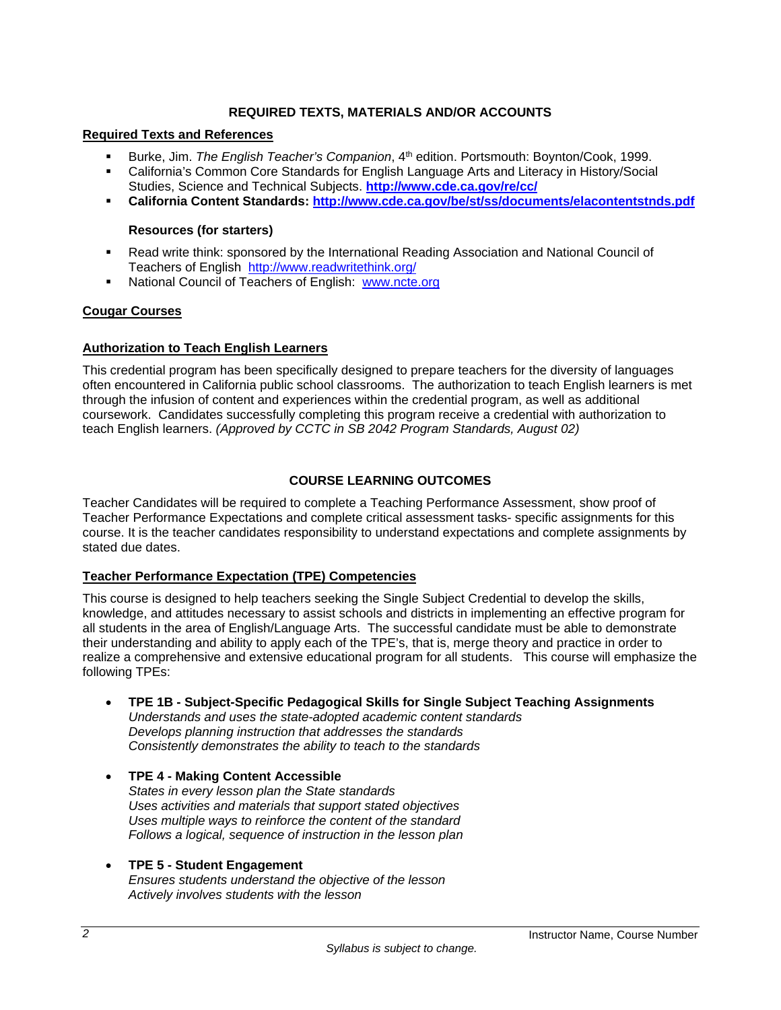## **REQUIRED TEXTS, MATERIALS AND/OR ACCOUNTS**

#### **Required Texts and References**

- Burke, Jim. *The English Teacher's Companion*, 4th edition. Portsmouth: Boynton/Cook, 1999.
- California's Common Core Standards for English Language Arts and Literacy in History/Social Studies, Science and Technical Subjects. **http://www.cde.ca.gov/re/cc/**
- **California Content Standards: http://www.cde.ca.gov/be/st/ss/documents/elacontentstnds.pdf**

### **Resources (for starters)**

- Read write think: sponsored by the International Reading Association and National Council of Teachers of English http://www.readwritethink.org/
- National Council of Teachers of English: www.ncte.org

### **Cougar Courses**

#### **Authorization to Teach English Learners**

This credential program has been specifically designed to prepare teachers for the diversity of languages often encountered in California public school classrooms. The authorization to teach English learners is met through the infusion of content and experiences within the credential program, as well as additional coursework. Candidates successfully completing this program receive a credential with authorization to teach English learners. *(Approved by CCTC in SB 2042 Program Standards, August 02)*

# **COURSE LEARNING OUTCOMES**

Teacher Candidates will be required to complete a Teaching Performance Assessment, show proof of Teacher Performance Expectations and complete critical assessment tasks- specific assignments for this course. It is the teacher candidates responsibility to understand expectations and complete assignments by stated due dates.

# **Teacher Performance Expectation (TPE) Competencies**

This course is designed to help teachers seeking the Single Subject Credential to develop the skills, knowledge, and attitudes necessary to assist schools and districts in implementing an effective program for all students in the area of English/Language Arts. The successful candidate must be able to demonstrate their understanding and ability to apply each of the TPE's, that is, merge theory and practice in order to realize a comprehensive and extensive educational program for all students. This course will emphasize the following TPEs:

- **TPE 1B Subject-Specific Pedagogical Skills for Single Subject Teaching Assignments**  *Understands and uses the state-adopted academic content standards Develops planning instruction that addresses the standards Consistently demonstrates the ability to teach to the standards*
- **TPE 4 Making Content Accessible** *States in every lesson plan the State standards Uses activities and materials that support stated objectives Uses multiple ways to reinforce the content of the standard Follows a logical, sequence of instruction in the lesson plan*

#### **TPE 5 - Student Engagement** *Ensures students understand the objective of the lesson Actively involves students with the lesson*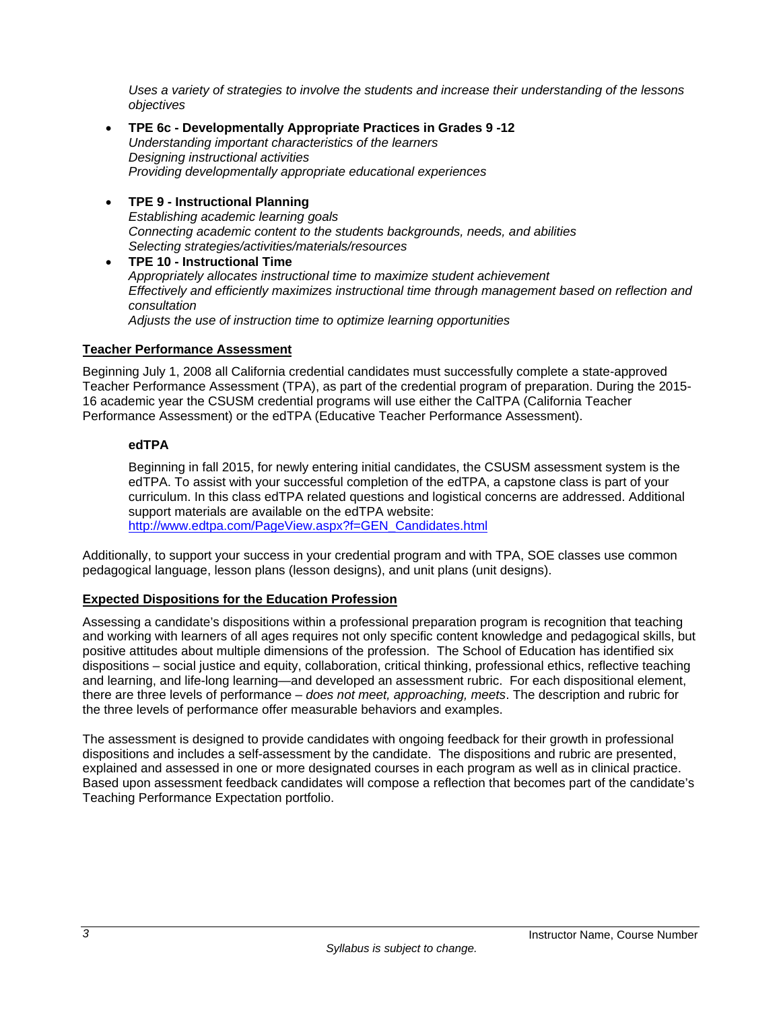*Uses a variety of strategies to involve the students and increase their understanding of the lessons objectives*

- **TPE 6c Developmentally Appropriate Practices in Grades 9 -12**  *Understanding important characteristics of the learners Designing instructional activities Providing developmentally appropriate educational experiences*
- **TPE 9 Instructional Planning**  *Establishing academic learning goals Connecting academic content to the students backgrounds, needs, and abilities Selecting strategies/activities/materials/resources*
- **TPE 10 Instructional Time** *Appropriately allocates instructional time to maximize student achievement Effectively and efficiently maximizes instructional time through management based on reflection and consultation Adjusts the use of instruction time to optimize learning opportunities*

### **Teacher Performance Assessment**

Beginning July 1, 2008 all California credential candidates must successfully complete a state-approved Teacher Performance Assessment (TPA), as part of the credential program of preparation. During the 2015- 16 academic year the CSUSM credential programs will use either the CalTPA (California Teacher Performance Assessment) or the edTPA (Educative Teacher Performance Assessment).

### **edTPA**

Beginning in fall 2015, for newly entering initial candidates, the CSUSM assessment system is the edTPA. To assist with your successful completion of the edTPA, a capstone class is part of your curriculum. In this class edTPA related questions and logistical concerns are addressed. Additional support materials are available on the edTPA website: http://www.edtpa.com/PageView.aspx?f=GEN\_Candidates.html

Additionally, to support your success in your credential program and with TPA, SOE classes use common pedagogical language, lesson plans (lesson designs), and unit plans (unit designs).

# **Expected Dispositions for the Education Profession**

Assessing a candidate's dispositions within a professional preparation program is recognition that teaching and working with learners of all ages requires not only specific content knowledge and pedagogical skills, but positive attitudes about multiple dimensions of the profession. The School of Education has identified six dispositions – social justice and equity, collaboration, critical thinking, professional ethics, reflective teaching and learning, and life-long learning—and developed an assessment rubric. For each dispositional element, there are three levels of performance – *does not meet, approaching, meets*. The description and rubric for the three levels of performance offer measurable behaviors and examples.

The assessment is designed to provide candidates with ongoing feedback for their growth in professional dispositions and includes a self-assessment by the candidate. The dispositions and rubric are presented, explained and assessed in one or more designated courses in each program as well as in clinical practice. Based upon assessment feedback candidates will compose a reflection that becomes part of the candidate's Teaching Performance Expectation portfolio.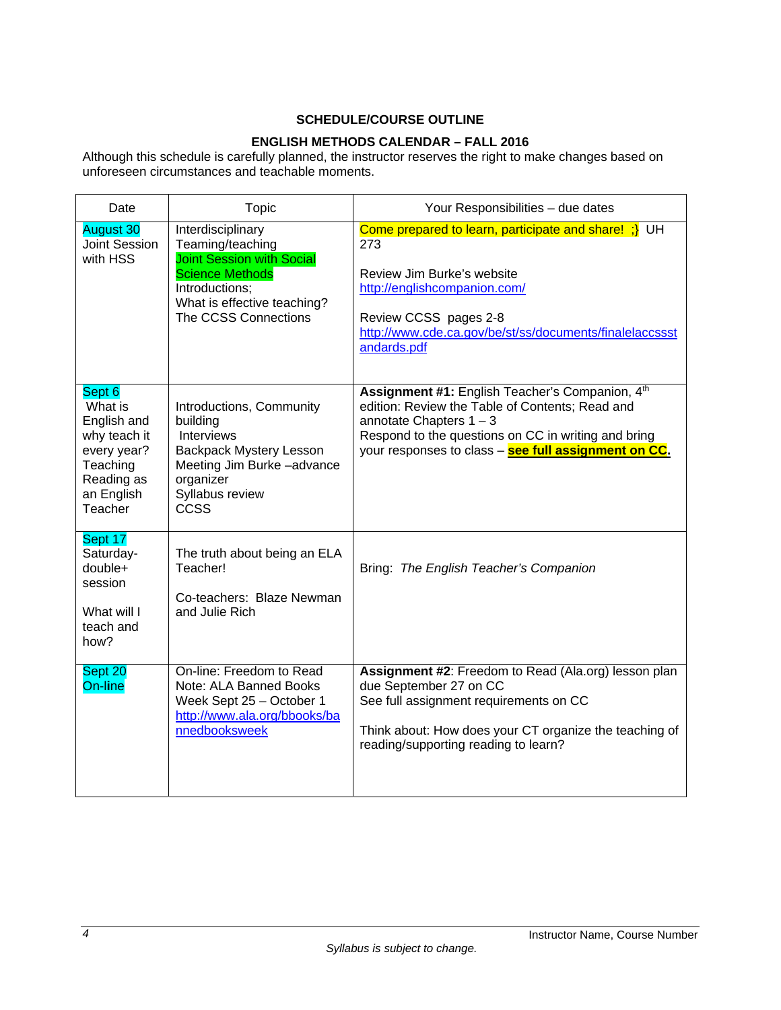# **SCHEDULE/COURSE OUTLINE**

# **ENGLISH METHODS CALENDAR – FALL 2016**

Although this schedule is carefully planned, the instructor reserves the right to make changes based on unforeseen circumstances and teachable moments.

| Date                                                                                                               | <b>Topic</b>                                                                                                                                                                 | Your Responsibilities - due dates                                                                                                                                                                                                              |
|--------------------------------------------------------------------------------------------------------------------|------------------------------------------------------------------------------------------------------------------------------------------------------------------------------|------------------------------------------------------------------------------------------------------------------------------------------------------------------------------------------------------------------------------------------------|
| <b>August 30</b><br><b>Joint Session</b><br>with HSS                                                               | Interdisciplinary<br>Teaming/teaching<br><b>Joint Session with Social</b><br><b>Science Methods</b><br>Introductions;<br>What is effective teaching?<br>The CCSS Connections | Come prepared to learn, participate and share! ;} UH<br>273<br>Review Jim Burke's website<br>http://englishcompanion.com/<br>Review CCSS pages 2-8<br>http://www.cde.ca.gov/be/st/ss/documents/finalelaccssst<br>andards.pdf                   |
| Sept 6<br>What is<br>English and<br>why teach it<br>every year?<br>Teaching<br>Reading as<br>an English<br>Teacher | Introductions, Community<br>building<br>Interviews<br><b>Backpack Mystery Lesson</b><br>Meeting Jim Burke-advance<br>organizer<br>Syllabus review<br><b>CCSS</b>             | Assignment #1: English Teacher's Companion, 4th<br>edition: Review the Table of Contents; Read and<br>annotate Chapters $1 - 3$<br>Respond to the questions on CC in writing and bring<br>your responses to class - see full assignment on CC. |
| Sept 17<br>Saturday-<br>double+<br>session<br>What will I<br>teach and<br>how?                                     | The truth about being an ELA<br>Teacher!<br>Co-teachers: Blaze Newman<br>and Julie Rich                                                                                      | Bring: The English Teacher's Companion                                                                                                                                                                                                         |
| Sept 20<br>On-line                                                                                                 | On-line: Freedom to Read<br>Note: ALA Banned Books<br>Week Sept 25 - October 1<br>http://www.ala.org/bbooks/ba<br>nnedbooksweek                                              | Assignment #2: Freedom to Read (Ala.org) lesson plan<br>due September 27 on CC<br>See full assignment requirements on CC<br>Think about: How does your CT organize the teaching of<br>reading/supporting reading to learn?                     |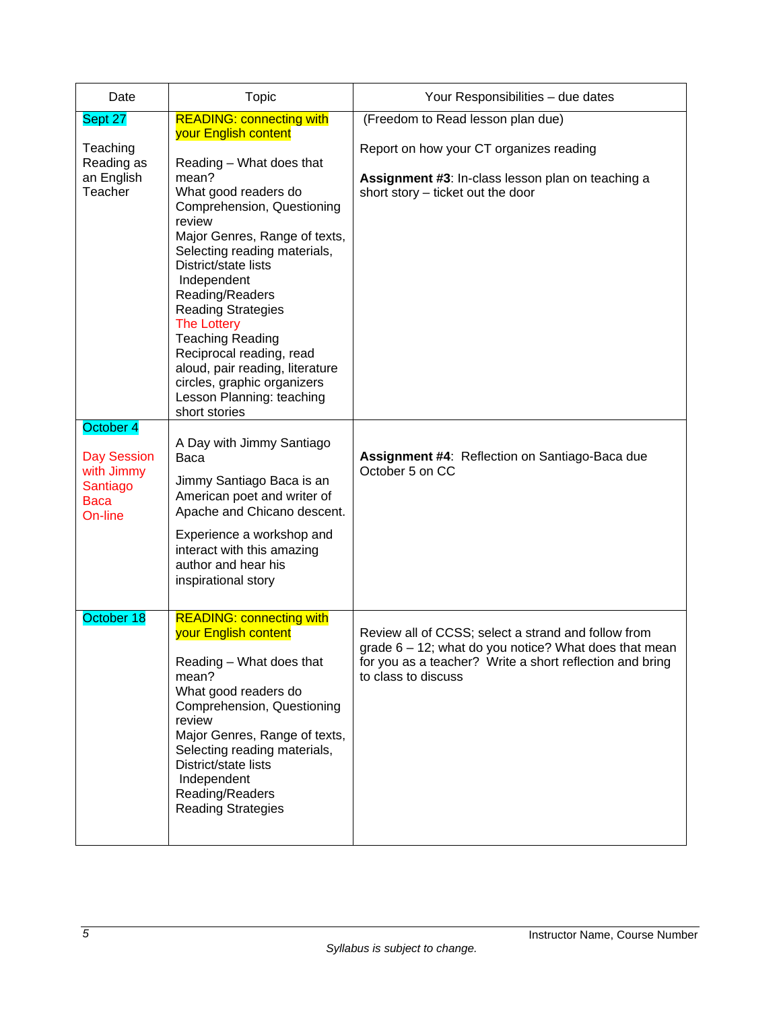| Date                                                                    | <b>Topic</b>                                                                                                                                                                                                                                                                                                                                                                                                                                                                                                      | Your Responsibilities - due dates                                                                                                                                                               |
|-------------------------------------------------------------------------|-------------------------------------------------------------------------------------------------------------------------------------------------------------------------------------------------------------------------------------------------------------------------------------------------------------------------------------------------------------------------------------------------------------------------------------------------------------------------------------------------------------------|-------------------------------------------------------------------------------------------------------------------------------------------------------------------------------------------------|
| Sept 27<br>Teaching<br>Reading as<br>an English<br>Teacher<br>October 4 | <b>READING: connecting with</b><br>your English content<br>Reading - What does that<br>mean?<br>What good readers do<br>Comprehension, Questioning<br>review<br>Major Genres, Range of texts,<br>Selecting reading materials,<br>District/state lists<br>Independent<br>Reading/Readers<br><b>Reading Strategies</b><br><b>The Lottery</b><br><b>Teaching Reading</b><br>Reciprocal reading, read<br>aloud, pair reading, literature<br>circles, graphic organizers<br>Lesson Planning: teaching<br>short stories | (Freedom to Read lesson plan due)<br>Report on how your CT organizes reading<br>Assignment #3: In-class lesson plan on teaching a<br>short story - ticket out the door                          |
| <b>Day Session</b><br>with Jimmy<br>Santiago<br><b>Baca</b><br>On-line  | A Day with Jimmy Santiago<br>Baca<br>Jimmy Santiago Baca is an<br>American poet and writer of<br>Apache and Chicano descent.<br>Experience a workshop and<br>interact with this amazing<br>author and hear his<br>inspirational story                                                                                                                                                                                                                                                                             | Assignment #4: Reflection on Santiago-Baca due<br>October 5 on CC                                                                                                                               |
| October 18                                                              | <b>READING: connecting with</b><br>your English content<br>Reading - What does that<br>mean?<br>What good readers do<br>Comprehension, Questioning<br>review<br>Major Genres, Range of texts,<br>Selecting reading materials,<br>District/state lists<br>Independent<br>Reading/Readers<br><b>Reading Strategies</b>                                                                                                                                                                                              | Review all of CCSS; select a strand and follow from<br>grade 6 - 12; what do you notice? What does that mean<br>for you as a teacher? Write a short reflection and bring<br>to class to discuss |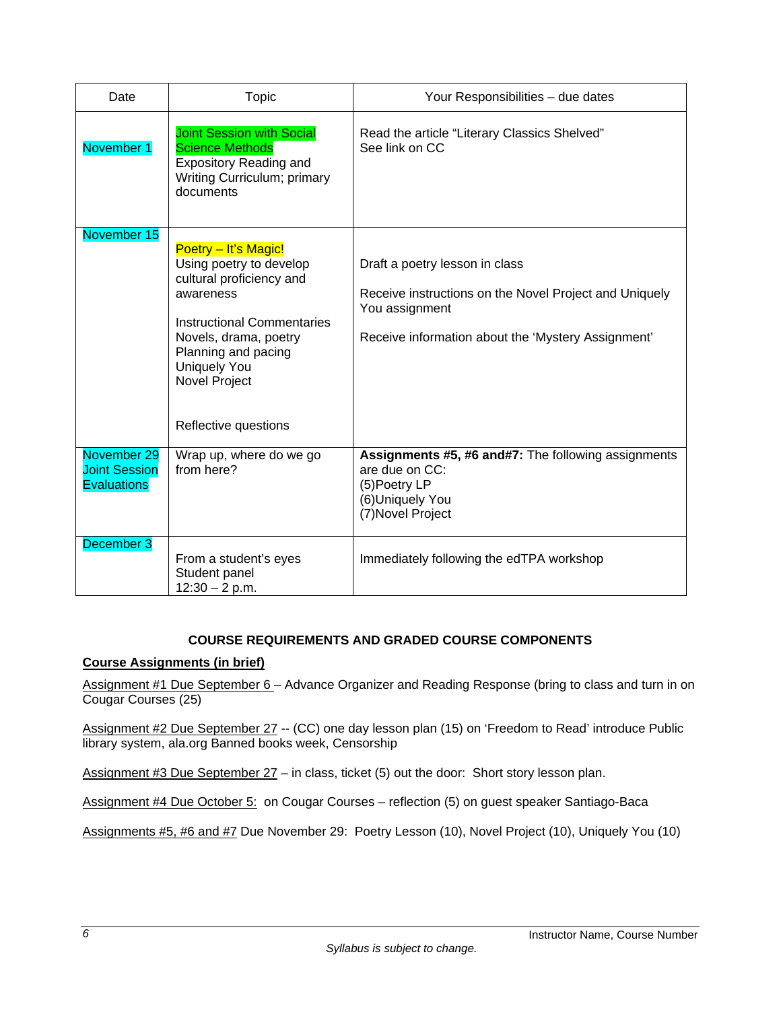| Date                                                      | Topic                                                                                                                                                                                                                                         | Your Responsibilities - due dates                                                                                                                                |
|-----------------------------------------------------------|-----------------------------------------------------------------------------------------------------------------------------------------------------------------------------------------------------------------------------------------------|------------------------------------------------------------------------------------------------------------------------------------------------------------------|
| November 1                                                | <b>Joint Session with Social</b><br><b>Science Methods</b><br><b>Expository Reading and</b><br>Writing Curriculum; primary<br>documents                                                                                                       | Read the article "Literary Classics Shelved"<br>See link on CC                                                                                                   |
| November 15                                               | Poetry - It's Magic!<br>Using poetry to develop<br>cultural proficiency and<br>awareness<br><b>Instructional Commentaries</b><br>Novels, drama, poetry<br>Planning and pacing<br><b>Uniquely You</b><br>Novel Project<br>Reflective questions | Draft a poetry lesson in class<br>Receive instructions on the Novel Project and Uniquely<br>You assignment<br>Receive information about the 'Mystery Assignment' |
| November 29<br><b>Joint Session</b><br><b>Evaluations</b> | Wrap up, where do we go<br>from here?                                                                                                                                                                                                         | Assignments #5, #6 and#7: The following assignments<br>are due on CC:<br>(5)Poetry LP<br>(6)Uniquely You<br>(7) Novel Project                                    |
| December 3                                                | From a student's eyes<br>Student panel<br>$12:30 - 2 p.m.$                                                                                                                                                                                    | Immediately following the edTPA workshop                                                                                                                         |

# **COURSE REQUIREMENTS AND GRADED COURSE COMPONENTS**

# **Course Assignments (in brief)**

Assignment #1 Due September 6 - Advance Organizer and Reading Response (bring to class and turn in on Cougar Courses (25)

Assignment #2 Due September 27 -- (CC) one day lesson plan (15) on 'Freedom to Read' introduce Public library system, ala.org Banned books week, Censorship

Assignment #3 Due September 27 – in class, ticket (5) out the door: Short story lesson plan.

Assignment #4 Due October 5: on Cougar Courses – reflection (5) on guest speaker Santiago-Baca

Assignments #5, #6 and #7 Due November 29: Poetry Lesson (10), Novel Project (10), Uniquely You (10)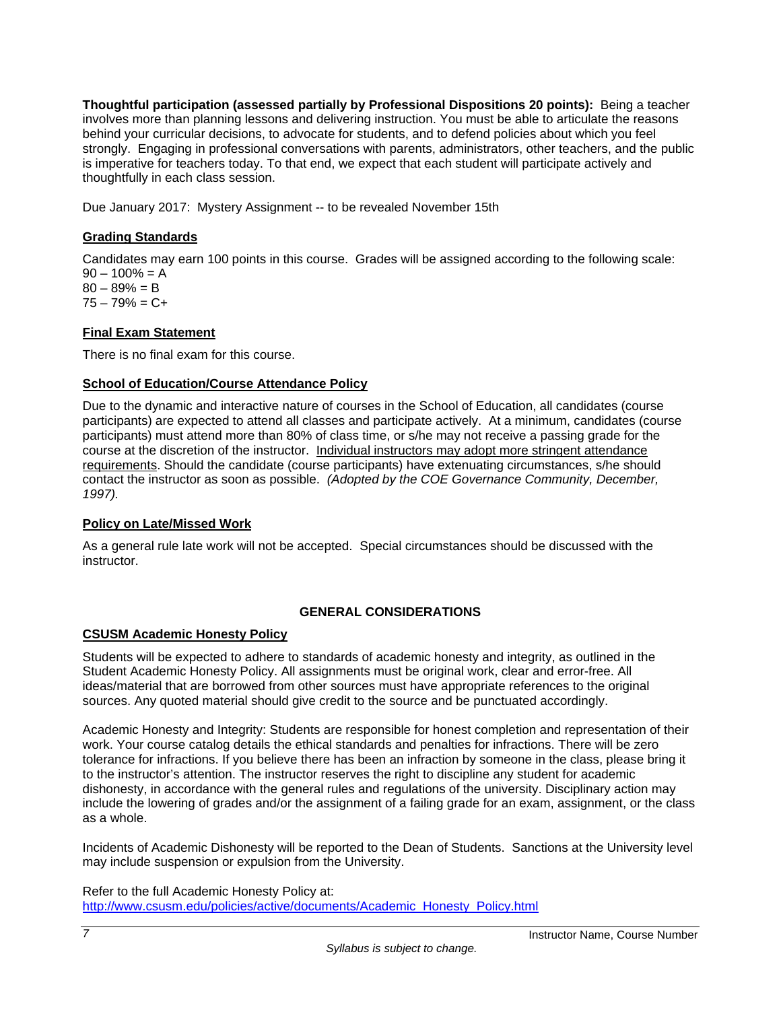**Thoughtful participation (assessed partially by Professional Dispositions 20 points):** Being a teacher involves more than planning lessons and delivering instruction. You must be able to articulate the reasons behind your curricular decisions, to advocate for students, and to defend policies about which you feel strongly. Engaging in professional conversations with parents, administrators, other teachers, and the public is imperative for teachers today. To that end, we expect that each student will participate actively and thoughtfully in each class session.

Due January 2017: Mystery Assignment -- to be revealed November 15th

# **Grading Standards**

Candidates may earn 100 points in this course. Grades will be assigned according to the following scale:  $90 - 100\% = A$  $80 - 89\% = B$  $75 - 79\% = C +$ 

# **Final Exam Statement**

There is no final exam for this course.

### **School of Education/Course Attendance Policy**

Due to the dynamic and interactive nature of courses in the School of Education, all candidates (course participants) are expected to attend all classes and participate actively. At a minimum, candidates (course participants) must attend more than 80% of class time, or s/he may not receive a passing grade for the course at the discretion of the instructor. Individual instructors may adopt more stringent attendance requirements. Should the candidate (course participants) have extenuating circumstances, s/he should contact the instructor as soon as possible. *(Adopted by the COE Governance Community, December, 1997).*

#### **Policy on Late/Missed Work**

As a general rule late work will not be accepted. Special circumstances should be discussed with the instructor.

# **GENERAL CONSIDERATIONS**

#### **CSUSM Academic Honesty Policy**

Students will be expected to adhere to standards of academic honesty and integrity, as outlined in the Student Academic Honesty Policy. All assignments must be original work, clear and error-free. All ideas/material that are borrowed from other sources must have appropriate references to the original sources. Any quoted material should give credit to the source and be punctuated accordingly.

Academic Honesty and Integrity: Students are responsible for honest completion and representation of their work. Your course catalog details the ethical standards and penalties for infractions. There will be zero tolerance for infractions. If you believe there has been an infraction by someone in the class, please bring it to the instructor's attention. The instructor reserves the right to discipline any student for academic dishonesty, in accordance with the general rules and regulations of the university. Disciplinary action may include the lowering of grades and/or the assignment of a failing grade for an exam, assignment, or the class as a whole.

Incidents of Academic Dishonesty will be reported to the Dean of Students. Sanctions at the University level may include suspension or expulsion from the University.

Refer to the full Academic Honesty Policy at: http://www.csusm.edu/policies/active/documents/Academic\_Honesty\_Policy.html